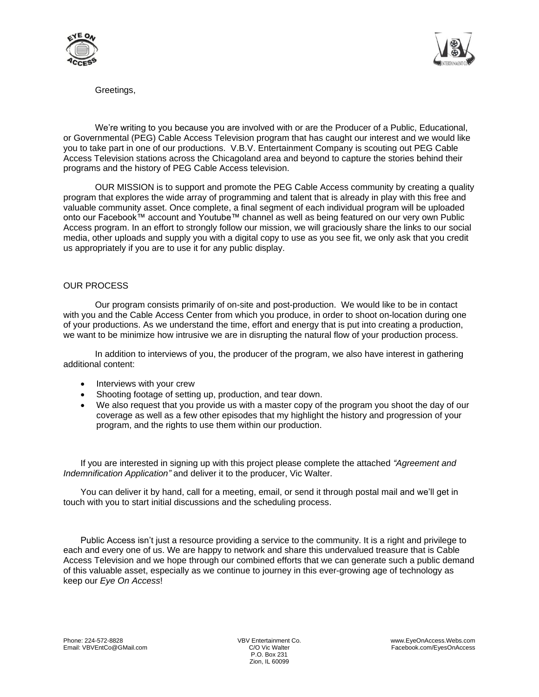



Greetings,

We're writing to you because you are involved with or are the Producer of a Public. Educational, or Governmental (PEG) Cable Access Television program that has caught our interest and we would like you to take part in one of our productions. V.B.V. Entertainment Company is scouting out PEG Cable Access Television stations across the Chicagoland area and beyond to capture the stories behind their programs and the history of PEG Cable Access television.

OUR MISSION is to support and promote the PEG Cable Access community by creating a quality program that explores the wide array of programming and talent that is already in play with this free and valuable community asset. Once complete, a final segment of each individual program will be uploaded onto our Facebook™ account and Youtube™ channel as well as being featured on our very own Public Access program. In an effort to strongly follow our mission, we will graciously share the links to our social media, other uploads and supply you with a digital copy to use as you see fit, we only ask that you credit us appropriately if you are to use it for any public display.

## OUR PROCESS

Our program consists primarily of on-site and post-production. We would like to be in contact with you and the Cable Access Center from which you produce, in order to shoot on-location during one of your productions. As we understand the time, effort and energy that is put into creating a production, we want to be minimize how intrusive we are in disrupting the natural flow of your production process.

In addition to interviews of you, the producer of the program, we also have interest in gathering additional content:

- Interviews with your crew
- Shooting footage of setting up, production, and tear down.
- We also request that you provide us with a master copy of the program you shoot the day of our coverage as well as a few other episodes that my highlight the history and progression of your program, and the rights to use them within our production.

If you are interested in signing up with this project please complete the attached *"Agreement and Indemnification Application"* and deliver it to the producer, Vic Walter.

You can deliver it by hand, call for a meeting, email, or send it through postal mail and we'll get in touch with you to start initial discussions and the scheduling process.

Public Access isn't just a resource providing a service to the community. It is a right and privilege to each and every one of us. We are happy to network and share this undervalued treasure that is Cable Access Television and we hope through our combined efforts that we can generate such a public demand of this valuable asset, especially as we continue to journey in this ever-growing age of technology as keep our *Eye On Access*!